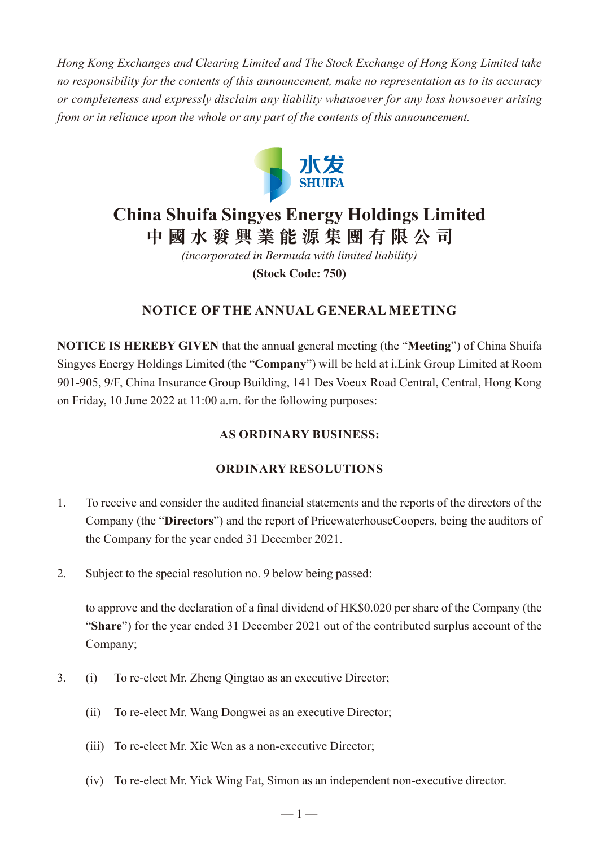*Hong Kong Exchanges and Clearing Limited and The Stock Exchange of Hong Kong Limited take no responsibility for the contents of this announcement, make no representation as to its accuracy or completeness and expressly disclaim any liability whatsoever for any loss howsoever arising from or in reliance upon the whole or any part of the contents of this announcement.*



# **China Shuifa Singyes Energy Holdings Limited 中國水發興業能源集團有限公司**

*(incorporated in Bermuda with limited liability)* **(Stock Code: 750)**

## **NOTICE OF THE ANNUAL GENERAL MEETING**

**NOTICE IS HEREBY GIVEN** that the annual general meeting (the "**Meeting**") of China Shuifa Singyes Energy Holdings Limited (the "**Company**") will be held at i.Link Group Limited at Room 901-905, 9/F, China Insurance Group Building, 141 Des Voeux Road Central, Central, Hong Kong on Friday, 10 June 2022 at 11:00 a.m. for the following purposes:

#### **AS ORDINARY BUSINESS:**

#### **ORDINARY RESOLUTIONS**

- 1. To receive and consider the audited financial statements and the reports of the directors of the Company (the "**Directors**") and the report of PricewaterhouseCoopers, being the auditors of the Company for the year ended 31 December 2021.
- 2. Subject to the special resolution no. 9 below being passed:

to approve and the declaration of a final dividend of HK\$0.020 per share of the Company (the "**Share**") for the year ended 31 December 2021 out of the contributed surplus account of the Company;

- 3. (i) To re-elect Mr. Zheng Qingtao as an executive Director;
	- (ii) To re-elect Mr. Wang Dongwei as an executive Director;
	- (iii) To re-elect Mr. Xie Wen as a non-executive Director;
	- (iv) To re-elect Mr. Yick Wing Fat, Simon as an independent non-executive director.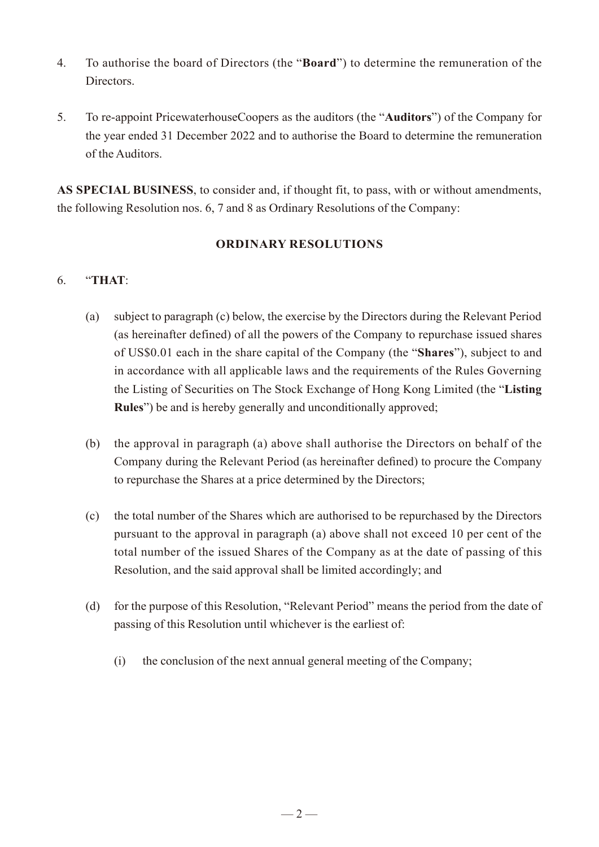- 4. To authorise the board of Directors (the "**Board**") to determine the remuneration of the Directors.
- 5. To re-appoint PricewaterhouseCoopers as the auditors (the "**Auditors**") of the Company for the year ended 31 December 2022 and to authorise the Board to determine the remuneration of the Auditors.

**AS SPECIAL BUSINESS**, to consider and, if thought fit, to pass, with or without amendments, the following Resolution nos. 6, 7 and 8 as Ordinary Resolutions of the Company:

## **ORDINARY RESOLUTIONS**

## 6. "**THAT**:

- (a) subject to paragraph (c) below, the exercise by the Directors during the Relevant Period (as hereinafter defined) of all the powers of the Company to repurchase issued shares of US\$0.01 each in the share capital of the Company (the "**Shares**"), subject to and in accordance with all applicable laws and the requirements of the Rules Governing the Listing of Securities on The Stock Exchange of Hong Kong Limited (the "**Listing Rules**") be and is hereby generally and unconditionally approved;
- (b) the approval in paragraph (a) above shall authorise the Directors on behalf of the Company during the Relevant Period (as hereinafter defined) to procure the Company to repurchase the Shares at a price determined by the Directors;
- (c) the total number of the Shares which are authorised to be repurchased by the Directors pursuant to the approval in paragraph (a) above shall not exceed 10 per cent of the total number of the issued Shares of the Company as at the date of passing of this Resolution, and the said approval shall be limited accordingly; and
- (d) for the purpose of this Resolution, "Relevant Period" means the period from the date of passing of this Resolution until whichever is the earliest of:
	- (i) the conclusion of the next annual general meeting of the Company;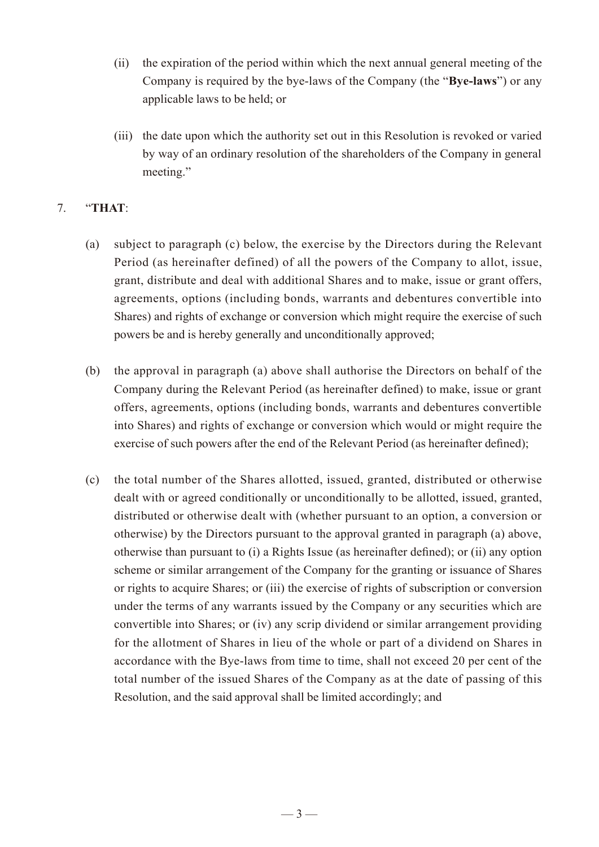- (ii) the expiration of the period within which the next annual general meeting of the Company is required by the bye-laws of the Company (the "**Bye-laws**") or any applicable laws to be held; or
- (iii) the date upon which the authority set out in this Resolution is revoked or varied by way of an ordinary resolution of the shareholders of the Company in general meeting."

## 7. "**THAT**:

- (a) subject to paragraph (c) below, the exercise by the Directors during the Relevant Period (as hereinafter defined) of all the powers of the Company to allot, issue, grant, distribute and deal with additional Shares and to make, issue or grant offers, agreements, options (including bonds, warrants and debentures convertible into Shares) and rights of exchange or conversion which might require the exercise of such powers be and is hereby generally and unconditionally approved;
- (b) the approval in paragraph (a) above shall authorise the Directors on behalf of the Company during the Relevant Period (as hereinafter defined) to make, issue or grant offers, agreements, options (including bonds, warrants and debentures convertible into Shares) and rights of exchange or conversion which would or might require the exercise of such powers after the end of the Relevant Period (as hereinafter defined);
- (c) the total number of the Shares allotted, issued, granted, distributed or otherwise dealt with or agreed conditionally or unconditionally to be allotted, issued, granted, distributed or otherwise dealt with (whether pursuant to an option, a conversion or otherwise) by the Directors pursuant to the approval granted in paragraph (a) above, otherwise than pursuant to (i) a Rights Issue (as hereinafter defined); or (ii) any option scheme or similar arrangement of the Company for the granting or issuance of Shares or rights to acquire Shares; or (iii) the exercise of rights of subscription or conversion under the terms of any warrants issued by the Company or any securities which are convertible into Shares; or (iv) any scrip dividend or similar arrangement providing for the allotment of Shares in lieu of the whole or part of a dividend on Shares in accordance with the Bye-laws from time to time, shall not exceed 20 per cent of the total number of the issued Shares of the Company as at the date of passing of this Resolution, and the said approval shall be limited accordingly; and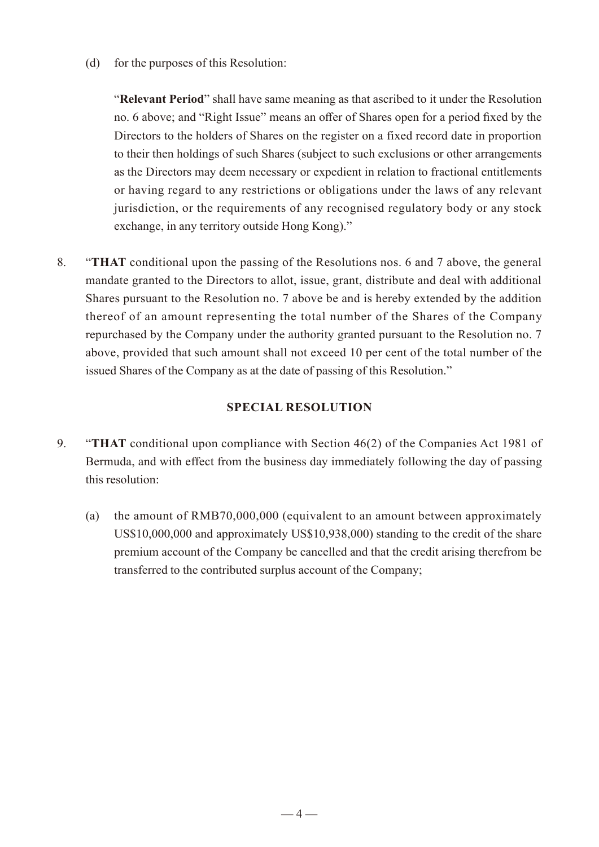(d) for the purposes of this Resolution:

"**Relevant Period**" shall have same meaning as that ascribed to it under the Resolution no. 6 above; and "Right Issue" means an offer of Shares open for a period fixed by the Directors to the holders of Shares on the register on a fixed record date in proportion to their then holdings of such Shares (subject to such exclusions or other arrangements as the Directors may deem necessary or expedient in relation to fractional entitlements or having regard to any restrictions or obligations under the laws of any relevant jurisdiction, or the requirements of any recognised regulatory body or any stock exchange, in any territory outside Hong Kong)."

8. "**THAT** conditional upon the passing of the Resolutions nos. 6 and 7 above, the general mandate granted to the Directors to allot, issue, grant, distribute and deal with additional Shares pursuant to the Resolution no. 7 above be and is hereby extended by the addition thereof of an amount representing the total number of the Shares of the Company repurchased by the Company under the authority granted pursuant to the Resolution no. 7 above, provided that such amount shall not exceed 10 per cent of the total number of the issued Shares of the Company as at the date of passing of this Resolution."

#### **SPECIAL RESOLUTION**

- 9. "**THAT** conditional upon compliance with Section 46(2) of the Companies Act 1981 of Bermuda, and with effect from the business day immediately following the day of passing this resolution:
	- (a) the amount of RMB70,000,000 (equivalent to an amount between approximately US\$10,000,000 and approximately US\$10,938,000) standing to the credit of the share premium account of the Company be cancelled and that the credit arising therefrom be transferred to the contributed surplus account of the Company;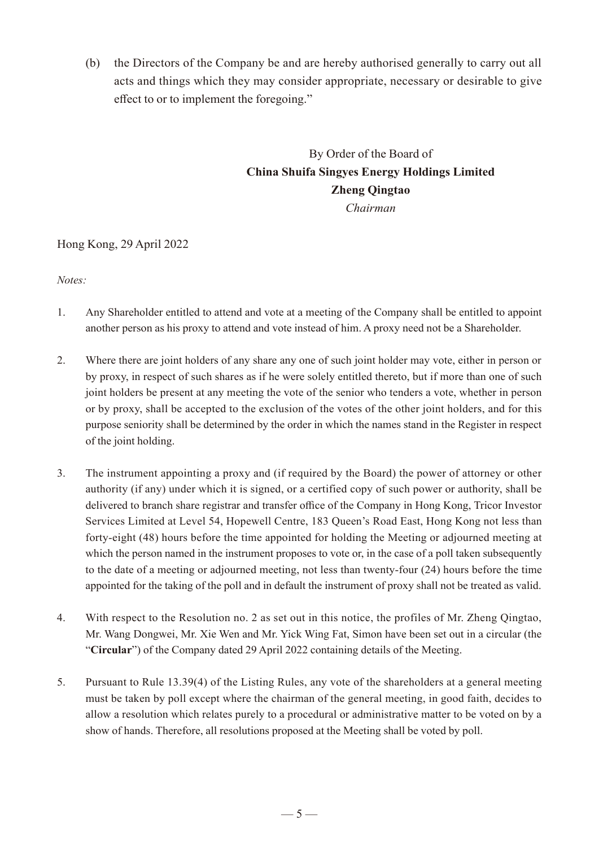(b) the Directors of the Company be and are hereby authorised generally to carry out all acts and things which they may consider appropriate, necessary or desirable to give effect to or to implement the foregoing."

## By Order of the Board of **China Shuifa Singyes Energy Holdings Limited Zheng Qingtao** *Chairman*

#### Hong Kong, 29 April 2022

*Notes:*

- 1. Any Shareholder entitled to attend and vote at a meeting of the Company shall be entitled to appoint another person as his proxy to attend and vote instead of him. A proxy need not be a Shareholder.
- 2. Where there are joint holders of any share any one of such joint holder may vote, either in person or by proxy, in respect of such shares as if he were solely entitled thereto, but if more than one of such joint holders be present at any meeting the vote of the senior who tenders a vote, whether in person or by proxy, shall be accepted to the exclusion of the votes of the other joint holders, and for this purpose seniority shall be determined by the order in which the names stand in the Register in respect of the joint holding.
- 3. The instrument appointing a proxy and (if required by the Board) the power of attorney or other authority (if any) under which it is signed, or a certified copy of such power or authority, shall be delivered to branch share registrar and transfer office of the Company in Hong Kong, Tricor Investor Services Limited at Level 54, Hopewell Centre, 183 Queen's Road East, Hong Kong not less than forty-eight (48) hours before the time appointed for holding the Meeting or adjourned meeting at which the person named in the instrument proposes to vote or, in the case of a poll taken subsequently to the date of a meeting or adjourned meeting, not less than twenty-four (24) hours before the time appointed for the taking of the poll and in default the instrument of proxy shall not be treated as valid.
- 4. With respect to the Resolution no. 2 as set out in this notice, the profiles of Mr. Zheng Qingtao, Mr. Wang Dongwei, Mr. Xie Wen and Mr. Yick Wing Fat, Simon have been set out in a circular (the "**Circular**") of the Company dated 29 April 2022 containing details of the Meeting.
- 5. Pursuant to Rule 13.39(4) of the Listing Rules, any vote of the shareholders at a general meeting must be taken by poll except where the chairman of the general meeting, in good faith, decides to allow a resolution which relates purely to a procedural or administrative matter to be voted on by a show of hands. Therefore, all resolutions proposed at the Meeting shall be voted by poll.